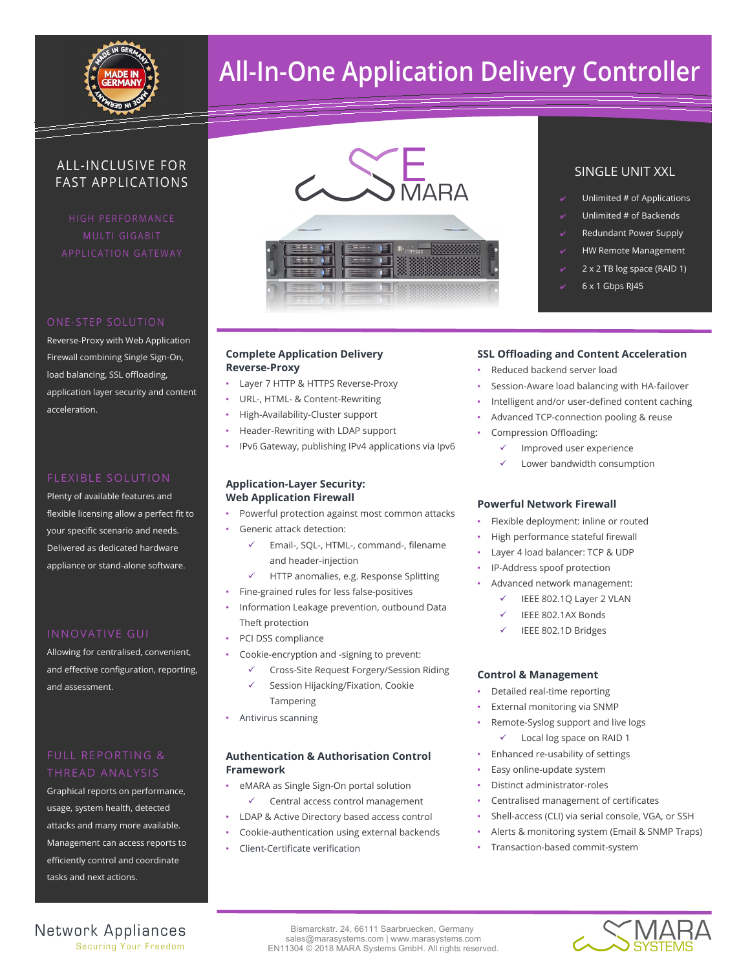

# **All-In-One Application Delivery Controller**

### ALL-INCLUSIVE FOR FAST APPLICATIONS

HIGH PERFORMANCE

#### ONE-STEP SOLUTION

Reverse-Proxy with Web Application Firewall combining Single Sign-On, load balancing, SSL offloading, application layer security and content acceleration.

#### FLEXIBLE SOLUTION

Plenty of available features and flexible licensing allow a perfect fit to your specific scenario and needs. Delivered as dedicated hardware appliance or stand-alone software.

Allowing for centralised, convenient, and effective configuration, reporting, and assessment.

Graphical reports on performance, usage, system health, detected attacks and many more available. Management can access reports to efficiently control and coordinate tasks and next actions.



### **Complete Application Delivery Reverse-Proxy**

- Layer 7 HTTP & HTTPS Reverse-Proxy
- URL-, HTML- & Content-Rewriting
- High-Availability-Cluster support
- Header-Rewriting with LDAP support
- IPv6 Gateway, publishing IPv4 applications via Ipv6

### **Application-Layer Security: Web Application Firewall**

- Powerful protection against most common attacks
- Generic attack detection:
	- Email-, SQL-, HTML-, command-, filename and header-injection
	- HTTP anomalies, e.g. Response Splitting
- Fine-grained rules for less false-positives
- Information Leakage prevention, outbound Data Theft protection
- PCI DSS compliance
- Cookie-encryption and -signing to prevent:
	- Cross-Site Request Forgery/Session Riding Session Hijacking/Fixation, Cookie
	- Tampering
- Antivirus scanning

### **Authentication & Authorisation Control Framework**

- eMARA as Single Sign-On portal solution Central access control management
- LDAP & Active Directory based access control
- Cookie-authentication using external backends
- Client-Certificate verification

### SINGLE UNIT XXL

- Unlimited # of Applications
- Unlimited # of Backends
- **Redundant Power Supply**
- **HW Remote Management**
- 2 x 2 TB log space (RAID 1)
- $6 \times 1$  Gbps RJ45

### **SSL Offloading and Content Acceleration**

- Reduced backend server load
- Session-Aware load balancing with HA-failover
- Intelligent and/or user-defined content caching
- Advanced TCP-connection pooling & reuse
- Compression Offloading:
	- Improved user experience
	- Lower bandwidth consumption

#### **Powerful Network Firewall**

- Flexible deployment: inline or routed
- High performance stateful firewall
- Layer 4 load balancer: TCP & UDP
- IP-Address spoof protection
- Advanced network management:
	- IEEE 802.1Q Layer 2 VLAN
	- IEEE 802.1AX Bonds
	- IEEE 802.1D Bridges

#### **Control & Management**

- Detailed real-time reporting
- External monitoring via SNMP
- Remote-Syslog support and live logs
	- Local log space on RAID 1
- Enhanced re-usability of settings
- Easy online-update system
- Distinct administrator-roles
- Centralised management of certificates
- Shell-access (CLI) via serial console, VGA, or SSH
- Alerts & monitoring system (Email & SNMP Traps)
- Transaction-based commit-system